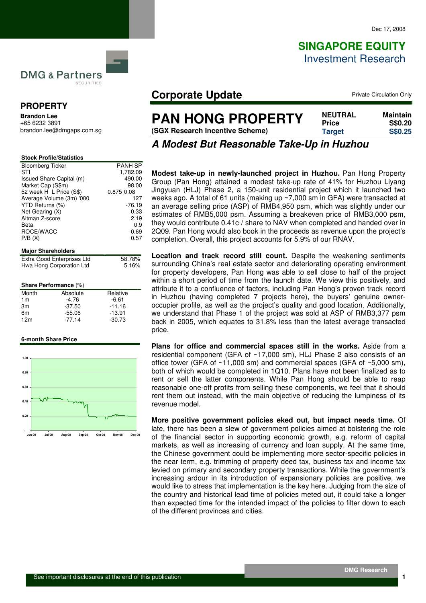# **SINGAPORE EQUITY** Investment Research

**DMG & Partners** SECURITIES

## **PROPERTY**

**Brandon Lee**  +65 6232 3891 brandon.lee@dmgaps.com.sg

| <b>Stock Profile/Statistics</b> |                |
|---------------------------------|----------------|
| <b>Bloomberg Ticker</b>         | <b>PANH SP</b> |
| STI                             | 1.782.09       |
| Issued Share Capital (m)        | 490.00         |
| Market Cap (S\$m)               | 98.00          |
| 52 week H L Price (S\$)         | 0.875   0.08   |
| Average Volume (3m) '000        | 127            |
| YTD Returns (%)                 | $-76.19$       |
| Net Gearing (X)                 | 0.33           |
| Altman Z-score                  | 2.19           |
| Beta                            | 0.9            |
| ROCE/WACC                       | 0.69           |
| P/B(X)                          | 0.57           |
| <b>Major Shareholders</b>       |                |
| Extra Good Enterprises Ltd      | 58.78%         |
| .                               | - 1001         |

| Extra Good Enterprises Ltd | 58.78% |
|----------------------------|--------|
| Hwa Hong Corporation Ltd   | 5.16%  |
|                            |        |

#### **Share Performance** (%)

| Month           | Absolute | Relative |
|-----------------|----------|----------|
| 1 <sub>m</sub>  | $-4.76$  | $-6.61$  |
| 3m              | $-37.50$ | $-11.16$ |
| 6m              | $-55.06$ | $-13.91$ |
| 12 <sub>m</sub> | $-77.14$ | $-30.73$ |

#### **6-month Share Price**



## **Corporate Update Private Circulation Only**

| <b>PAN HONG PROPERTY</b>        | <b>NEUTRAL</b><br><b>Price</b> | Maintain<br><b>S\$0.20</b> |
|---------------------------------|--------------------------------|----------------------------|
| (SGX Research Incentive Scheme) | <b>Target</b>                  | <b>S\$0.25</b>             |

## **A Modest But Reasonable Take-Up in Huzhou**

**Modest take-up in newly-launched project in Huzhou.** Pan Hong Property Group (Pan Hong) attained a modest take-up rate of 41% for Huzhou Liyang Jingyuan (HLJ) Phase 2, a 150-unit residential project which it launched two weeks ago. A total of 61 units (making up ~7,000 sm in GFA) were transacted at an average selling price (ASP) of RMB4,950 psm, which was slightly under our estimates of RMB5,000 psm. Assuming a breakeven price of RMB3,000 psm, they would contribute 0.41¢ / share to NAV when completed and handed over in 2Q09. Pan Hong would also book in the proceeds as revenue upon the project's completion. Overall, this project accounts for 5.9% of our RNAV.

**Location and track record still count.** Despite the weakening sentiments surrounding China's real estate sector and deteriorating operating environment for property developers, Pan Hong was able to sell close to half of the project within a short period of time from the launch date. We view this positively, and attribute it to a confluence of factors, including Pan Hong's proven track record in Huzhou (having completed 7 projects here), the buyers' genuine owneroccupier profile, as well as the project's quality and good location. Additionally, we understand that Phase 1 of the project was sold at ASP of RMB3,377 psm back in 2005, which equates to 31.8% less than the latest average transacted price.

**Plans for office and commercial spaces still in the works.** Aside from a residential component (GFA of ~17,000 sm), HLJ Phase 2 also consists of an office tower (GFA of  $~11,000$  sm) and commercial spaces (GFA of  $~5,000$  sm), both of which would be completed in 1Q10. Plans have not been finalized as to rent or sell the latter components. While Pan Hong should be able to reap reasonable one-off profits from selling these components, we feel that it should rent them out instead, with the main objective of reducing the lumpiness of its revenue model.

**More positive government policies eked out, but impact needs time.** Of late, there has been a slew of government policies aimed at bolstering the role of the financial sector in supporting economic growth, e.g. reform of capital markets, as well as increasing of currency and loan supply. At the same time, the Chinese government could be implementing more sector-specific policies in the near term, e.g. trimming of property deed tax, business tax and income tax levied on primary and secondary property transactions. While the government's increasing ardour in its introduction of expansionary policies are positive, we would like to stress that implementation is the key here. Judging from the size of the country and historical lead time of policies meted out, it could take a longer than expected time for the intended impact of the policies to filter down to each of the different provinces and cities.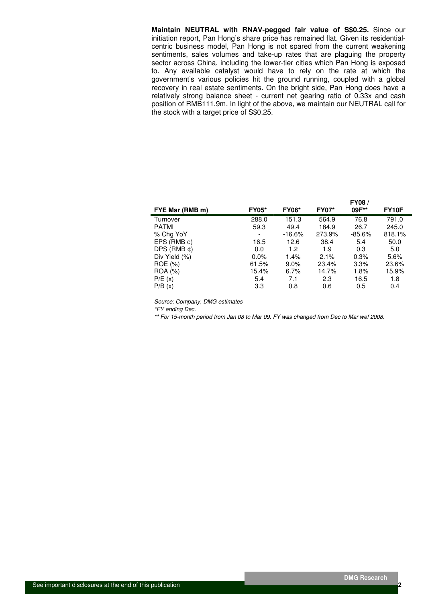**Maintain NEUTRAL with RNAV-pegged fair value of S\$0.25.** Since our initiation report, Pan Hong's share price has remained flat. Given its residentialcentric business model, Pan Hong is not spared from the current weakening sentiments, sales volumes and take-up rates that are plaguing the property sector across China, including the lower-tier cities which Pan Hong is exposed to. Any available catalyst would have to rely on the rate at which the government's various policies hit the ground running, coupled with a global recovery in real estate sentiments. On the bright side, Pan Hong does have a relatively strong balance sheet - current net gearing ratio of 0.33x and cash position of RMB111.9m. In light of the above, we maintain our NEUTRAL call for the stock with a target price of S\$0.25.

|                     |              |              |              | <b>FY08/</b> |        |
|---------------------|--------------|--------------|--------------|--------------|--------|
| FYE Mar (RMB m)     | <b>FY05*</b> | <b>FY06*</b> | <b>FY07*</b> | 09F**        | FY10F  |
| Turnover            | 288.0        | 151.3        | 564.9        | 76.8         | 791.0  |
| <b>PATMI</b>        | 59.3         | 49.4         | 184.9        | 26.7         | 245.0  |
| % Chg YoY           | -            | $-16.6%$     | 273.9%       | $-85.6%$     | 818.1% |
| $EPS$ (RMB $\phi$ ) | 16.5         | 12.6         | 38.4         | 5.4          | 50.0   |
| $DPS$ (RMB $\phi$ ) | 0.0          | 1.2          | 1.9          | 0.3          | 5.0    |
| Div Yield (%)       | $0.0\%$      | 1.4%         | 2.1%         | 0.3%         | 5.6%   |
| ROE (%)             | 61.5%        | $9.0\%$      | 23.4%        | 3.3%         | 23.6%  |
| ROA (%)             | 15.4%        | 6.7%         | 14.7%        | 1.8%         | 15.9%  |
| P/E(x)              | 5.4          | 7.1          | 2.3          | 16.5         | 1.8    |
| P/B(x)              | 3.3          | 0.8          | 0.6          | 0.5          | 0.4    |

Source: Company, DMG estimates

\*FY ending Dec.

\*\* For 15-month period from Jan 08 to Mar 09. FY was changed from Dec to Mar wef 2008.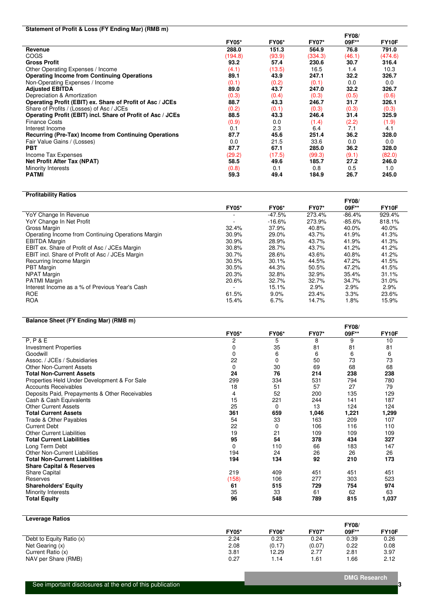### **Statement of Profit & Loss (FY Ending Mar) (RMB m)**

|                                                              |              |              |              | <b>FY08/</b> |                    |
|--------------------------------------------------------------|--------------|--------------|--------------|--------------|--------------------|
|                                                              | <b>FY05*</b> | <b>FY06*</b> | <b>FY07*</b> | 09F**        | FY <sub>10</sub> F |
| Revenue                                                      | 288.0        | 151.3        | 564.9        | 76.8         | 791.0              |
| <b>COGS</b>                                                  | (194.8)      | (93.9)       | (334.3)      | (46.1)       | (474.6)            |
| <b>Gross Profit</b>                                          | 93.2         | 57.4         | 230.6        | 30.7         | 316.4              |
| Other Operating Expenses / Income                            | (4.1)        | (13.5)       | 16.5         | 1.4          | 10.3               |
| <b>Operating Income from Continuing Operations</b>           | 89.1         | 43.9         | 247.1        | 32.2         | 326.7              |
| Non-Operating Expenses / Income                              | (0.1)        | (0.2)        | (0.1)        | 0.0          | 0.0                |
| <b>Adjusted EBITDA</b>                                       | 89.0         | 43.7         | 247.0        | 32.2         | 326.7              |
| Depreciation & Amortization                                  | (0.3)        | (0.4)        | (0.3)        | (0.5)        | (0.6)              |
| Operating Profit (EBIT) ex. Share of Profit of Asc / JCEs    | 88.7         | 43.3         | 246.7        | 31.7         | 326.1              |
| Share of Profits / (Losses) of Asc / JCEs                    | (0.2)        | (0.1)        | (0.3)        | (0.3)        | (0.3)              |
| Operating Profit (EBIT) incl. Share of Profit of Asc / JCEs  | 88.5         | 43.3         | 246.4        | 31.4         | 325.9              |
| <b>Finance Costs</b>                                         | (0.9)        | 0.0          | (1.4)        | (2.2)        | (1.9)              |
| Interest Income                                              | 0.1          | 2.3          | 6.4          | 7.1          | 4.1                |
| <b>Recurring (Pre-Tax) Income from Continuing Operations</b> | 87.7         | 45.6         | 251.4        | 36.2         | 328.0              |
| Fair Value Gains / (Losses)                                  | 0.0          | 21.5         | 33.6         | 0.0          | 0.0                |
| <b>PBT</b>                                                   | 87.7         | 67.1         | 285.0        | 36.2         | 328.0              |
| Income Tax Expenses                                          | (29.2)       | (17.5)       | (99.3)       | (9.1)        | (82.0)             |
| <b>Net Profit After Tax (NPAT)</b>                           | 58.5         | 49.6         | 185.7        | 27.2         | 246.0              |
| Minority Interests                                           | (0.8)        | 0.1          | 0.8          | 0.5          | 1.0                |
| <b>PATMI</b>                                                 | 59.3         | 49.4         | 184.9        | 26.7         | 245.0              |

### **Profitability Ratios**

|                                                    |              |              |              | <b>FY08/</b> |                    |
|----------------------------------------------------|--------------|--------------|--------------|--------------|--------------------|
|                                                    | <b>FY05*</b> | <b>FY06*</b> | <b>FY07*</b> | 09F**        | FY <sub>10</sub> F |
| YoY Change In Revenue                              |              | -47.5%       | 273.4%       | $-86.4%$     | 929.4%             |
| YoY Change In Net Profit                           |              | $-16.6%$     | 273.9%       | $-85.6%$     | 818.1%             |
| Gross Margin                                       | 32.4%        | 37.9%        | 40.8%        | 40.0%        | 40.0%              |
| Operating Income from Continuing Operations Margin | 30.9%        | 29.0%        | 43.7%        | 41.9%        | 41.3%              |
| <b>EBITDA Margin</b>                               | 30.9%        | 28.9%        | 43.7%        | 41.9%        | 41.3%              |
| EBIT ex. Share of Profit of Asc / JCEs Margin      | 30.8%        | 28.7%        | 43.7%        | 41.2%        | 41.2%              |
| EBIT incl. Share of Profit of Asc / JCEs Margin    | 30.7%        | 28.6%        | 43.6%        | 40.8%        | 41.2%              |
| Recurring Income Margin                            | 30.5%        | 30.1%        | 44.5%        | 47.2%        | 41.5%              |
| <b>PBT</b> Margin                                  | 30.5%        | 44.3%        | 50.5%        | 47.2%        | 41.5%              |
| <b>NPAT Margin</b>                                 | 20.3%        | 32.8%        | 32.9%        | 35.4%        | 31.1%              |
| <b>PATMI Margin</b>                                | 20.6%        | 32.7%        | 32.7%        | 34.7%        | 31.0%              |
| Interest Income as a % of Previous Year's Cash     |              | 15.1%        | 2.9%         | 2.9%         | 2.9%               |
| <b>ROE</b>                                         | 61.5%        | $9.0\%$      | 23.4%        | 3.3%         | 23.6%              |
| <b>ROA</b>                                         | 15.4%        | 6.7%         | 14.7%        | 1.8%         | 15.9%              |

### **Balance Sheet (FY Ending Mar) (RMB m)**

|                                                |              |              |              | <b>FY08/</b> |              |
|------------------------------------------------|--------------|--------------|--------------|--------------|--------------|
|                                                | <b>FY05*</b> | <b>FY06*</b> | <b>FY07*</b> | 09F**        | <b>FY10F</b> |
| P, P & E                                       | 2            | 5            | 8            | 9            | 10           |
| <b>Investment Properties</b>                   | 0            | 35           | 81           | 81           | 81           |
| Goodwill                                       | 0            | 6            | 6            | 6            | 6            |
| Assoc. / JCEs / Subsidiaries                   | 22           | 0            | 50           | 73           | 73           |
| <b>Other Non-Current Assets</b>                | 0            | 30           | 69           | 68           | 68           |
| <b>Total Non-Current Assets</b>                | 24           | 76           | 214          | 238          | 238          |
| Properties Held Under Development & For Sale   | 299          | 334          | 531          | 794          | 780          |
| Accounts Receivables                           | 18           | 51           | 57           | 27           | 79           |
| Deposits Paid, Prepayments & Other Receivables | 4            | 52           | 200          | 135          | 129          |
| Cash & Cash Equivalents                        | 15           | 221          | 244          | 141          | 187          |
| <b>Other Current Assets</b>                    | 25           | 0            | 13           | 124          | 124          |
| <b>Total Current Assets</b>                    | 361          | 659          | 1,046        | 1,221        | 1,299        |
| Trade & Other Payables                         | 54           | 33           | 163          | 209          | 107          |
| <b>Current Debt</b>                            | 22           | 0            | 106          | 116          | 110          |
| <b>Other Current Liabilities</b>               | 19           | 21           | 109          | 109          | 109          |
| <b>Total Current Liabilities</b>               | 95           | 54           | 378          | 434          | 327          |
| Long Term Debt                                 | $\Omega$     | 110          | 66           | 183          | 147          |
| <b>Other Non-Current Liabilities</b>           | 194          | 24           | 26           | 26           | 26           |
| <b>Total Non-Current Liabilities</b>           | 194          | 134          | 92           | 210          | 173          |
| <b>Share Capital &amp; Reserves</b>            |              |              |              |              |              |
| Share Capital                                  | 219          | 409          | 451          | 451          | 451          |
| Reserves                                       | (158)        | 106          | 277          | 303          | 523          |
| <b>Shareholders' Equity</b>                    | 61           | 515          | 729          | 754          | 974          |
| Minority Interests                             | 35           | 33           | 61           | 62           | 63           |
| Total Equity                                   | 96           | 548          | 789          | 815          | 1,037        |

### **Leverage Ratios**

|                          |              |              |              | <b>FY08</b> |       |
|--------------------------|--------------|--------------|--------------|-------------|-------|
|                          | <b>FY05*</b> | <b>FY06*</b> | <b>FY07*</b> | 09F**       | FY10F |
| Debt to Equity Ratio (x) | 2.24         | 0.23         | 0.24         | 0.39        | 0.26  |
| Net Gearing (x)          | 2.08         | (0.17)       | (0.07)       | 0.22        | 0.08  |
| Current Ratio (x)        | 3.81         | 12.29        | 2.77         | 2.81        | 3.97  |
| NAV per Share (RMB)      | 0.27         | 14، ،        | .61          | .66         | 2.12  |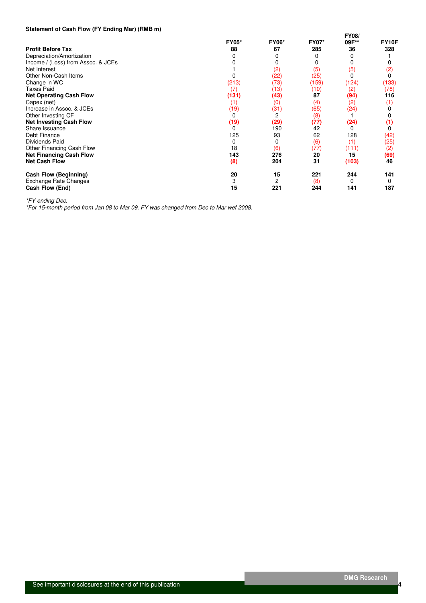| Statement of Cash Flow (FY Ending Mar) (RMB m) |              |              |              |              |              |
|------------------------------------------------|--------------|--------------|--------------|--------------|--------------|
|                                                |              |              |              | <b>FY08/</b> |              |
|                                                | <b>FY05*</b> | <b>FY06*</b> | <b>FY07*</b> | 09F**        | <b>FY10F</b> |
| <b>Profit Before Tax</b>                       | 88           | 67           | 285          | 36           | 328          |
| Depreciation/Amortization                      |              |              |              | 0            |              |
| Income / (Loss) from Assoc. & JCEs             |              |              | 0            | 0            |              |
| Net Interest                                   |              | (2)          | (5)          | (5)          | (2)          |
| Other Non-Cash Items                           |              | (22)         | (25)         | $\Omega$     | 0            |
| Change in WC                                   | (213)        | (73)         | (159)        | (124)        | (133)        |
| <b>Taxes Paid</b>                              | (7)          | (13)         | (10)         | (2)          | (78)         |
| <b>Net Operating Cash Flow</b>                 | (131)        | (43)         | 87           | (94)         | 116          |
| Capex (net)                                    | (1)          | (0)          | (4)          | (2)          | (1)          |
| Increase in Assoc. & JCEs                      | (19)         | (31)         | (65)         | (24)         |              |
| Other Investing CF                             |              | 2            | (8)          |              |              |
| <b>Net Investing Cash Flow</b>                 | (19)         | (29)         | (77)         | (24)         | (1)          |
| Share Issuance                                 | ŋ            | 190          | 42           | 0            |              |
| Debt Finance                                   | 125          | 93           | 62           | 128          | (42)         |
| Dividends Paid                                 | 0            | 0            | (6)          | (1)          | (25)         |
| Other Financing Cash Flow                      | 18           | (6)          | (77)         | (111)        | (2)          |
| <b>Net Financing Cash Flow</b>                 | 143          | 276          | 20           | 15           | (69)         |
| <b>Net Cash Flow</b>                           | (8)          | 204          | 31           | (103)        | 46           |
| Cash Flow (Beginning)                          | 20           | 15           | 221          | 244          | 141          |
| Exchange Rate Changes                          | 3            | 2            | (8)          | 0            | 0            |
| Cash Flow (End)                                | 15           | 221          | 244          | 141          | 187          |

\*FY ending Dec.

\*For 15-month period from Jan 08 to Mar 09. FY was changed from Dec to Mar wef 2008.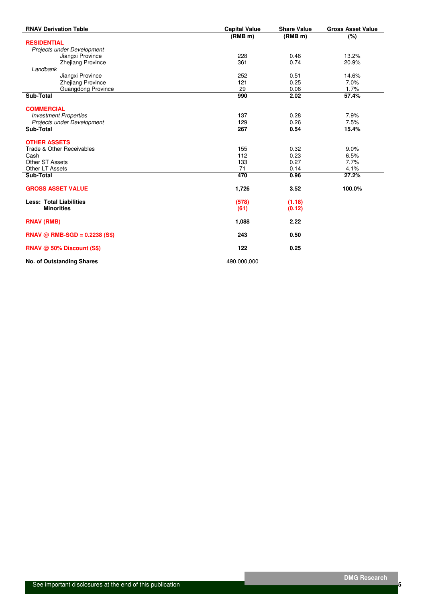| <b>RNAV Derivation Table</b>                 | <b>Capital Value</b> | <b>Share Value</b>  | <b>Gross Asset Value</b> |
|----------------------------------------------|----------------------|---------------------|--------------------------|
|                                              | (RMB <sub>m</sub> )  | (RMB <sub>m</sub> ) | (%)                      |
| <b>RESIDENTIAL</b>                           |                      |                     |                          |
| Projects under Development                   |                      |                     |                          |
| Jiangxi Province                             | 228                  | 0.46                | 13.2%                    |
| <b>Zhejiang Province</b>                     | 361                  | 0.74                | 20.9%                    |
| Landbank                                     | 252                  | 0.51                | 14.6%                    |
| Jiangxi Province<br><b>Zhejiang Province</b> | 121                  | 0.25                | 7.0%                     |
| Guangdong Province                           | 29                   | 0.06                | 1.7%                     |
| Sub-Total                                    | 990                  | 2.02                | 57.4%                    |
| <b>COMMERCIAL</b>                            |                      |                     |                          |
| <b>Investment Properties</b>                 | 137                  | 0.28                | 7.9%                     |
| Projects under Development                   | 129                  | 0.26                | 7.5%                     |
| Sub-Total                                    | 267                  | 0.54                | 15.4%                    |
| <b>OTHER ASSETS</b>                          |                      |                     |                          |
| Trade & Other Receivables                    | 155                  | 0.32                | 9.0%                     |
| Cash                                         | 112                  | 0.23                | 6.5%                     |
| <b>Other ST Assets</b>                       | 133                  | 0.27                | 7.7%                     |
| Other LT Assets                              | 71                   | 0.14                | 4.1%                     |
| Sub-Total                                    | 470                  | 0.96                | 27.2%                    |
| <b>GROSS ASSET VALUE</b>                     | 1,726                | 3.52                | 100.0%                   |
| <b>Less: Total Liabilities</b>               | (578)                | (1.18)              |                          |
| <b>Minorities</b>                            | (61)                 | (0.12)              |                          |
| <b>RNAV (RMB)</b>                            | 1,088                | 2.22                |                          |
| $RNAV @ RMB-SGD = 0.2238 (S$)$               | 243                  | 0.50                |                          |
| RNAV @ 50% Discount (S\$)                    | 122                  | 0.25                |                          |
| <b>No. of Outstanding Shares</b>             | 490,000,000          |                     |                          |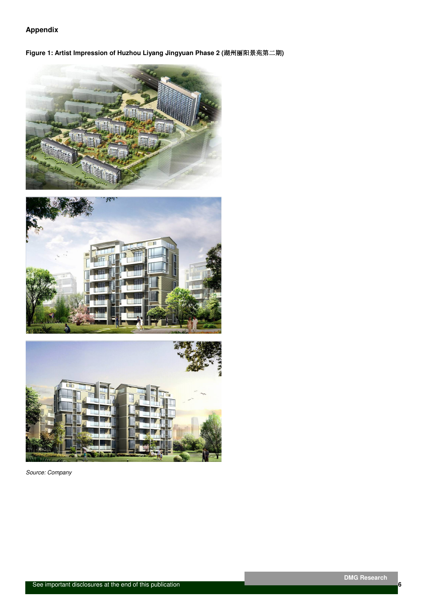## **Appendix**

**Figure 1: Artist Impression of Huzhou Liyang Jingyuan Phase 2 (**湖州丽阳景苑第二期**)** 







Source: Company